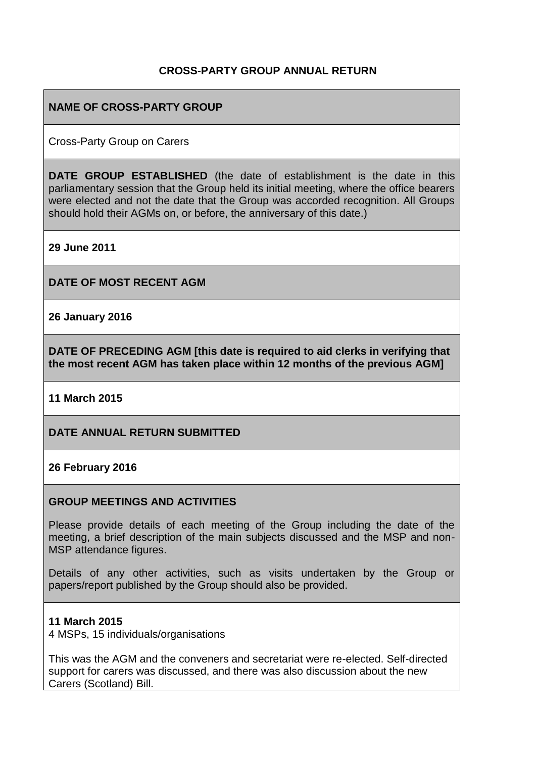# **CROSS-PARTY GROUP ANNUAL RETURN**

# **NAME OF CROSS-PARTY GROUP**

Cross-Party Group on Carers

**DATE GROUP ESTABLISHED** (the date of establishment is the date in this parliamentary session that the Group held its initial meeting, where the office bearers were elected and not the date that the Group was accorded recognition. All Groups should hold their AGMs on, or before, the anniversary of this date.)

**29 June 2011**

**DATE OF MOST RECENT AGM**

**26 January 2016**

**DATE OF PRECEDING AGM [this date is required to aid clerks in verifying that the most recent AGM has taken place within 12 months of the previous AGM]**

**11 March 2015**

**DATE ANNUAL RETURN SUBMITTED**

#### **26 February 2016**

#### **GROUP MEETINGS AND ACTIVITIES**

Please provide details of each meeting of the Group including the date of the meeting, a brief description of the main subjects discussed and the MSP and non-MSP attendance figures.

Details of any other activities, such as visits undertaken by the Group or papers/report published by the Group should also be provided.

#### **11 March 2015**

4 MSPs, 15 individuals/organisations

This was the AGM and the conveners and secretariat were re-elected. Self-directed support for carers was discussed, and there was also discussion about the new Carers (Scotland) Bill.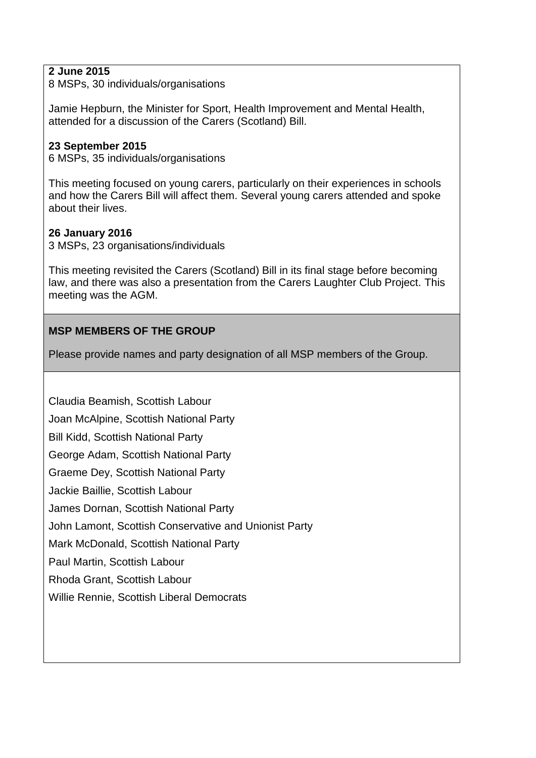# **2 June 2015**

8 MSPs, 30 individuals/organisations

Jamie Hepburn, the Minister for Sport, Health Improvement and Mental Health, attended for a discussion of the Carers (Scotland) Bill.

### **23 September 2015**

6 MSPs, 35 individuals/organisations

This meeting focused on young carers, particularly on their experiences in schools and how the Carers Bill will affect them. Several young carers attended and spoke about their lives.

### **26 January 2016**

3 MSPs, 23 organisations/individuals

This meeting revisited the Carers (Scotland) Bill in its final stage before becoming law, and there was also a presentation from the Carers Laughter Club Project. This meeting was the AGM.

# **MSP MEMBERS OF THE GROUP**

Please provide names and party designation of all MSP members of the Group.

Claudia Beamish, Scottish Labour Joan McAlpine, Scottish National Party [Bill Kidd,](http://www.scottish.parliament.uk/msps/currentmsps/Bill-Kidd-MSP.aspx) Scottish National Party [George Adam,](http://www.scottish.parliament.uk/msps/currentmsps/George-Adam-MSP.aspx) Scottish National Party [Graeme Dey,](http://www.scottish.parliament.uk/msps/currentmsps/Graeme-Dey-MSP.aspx) Scottish National Party [Jackie Baillie,](http://www.scottish.parliament.uk/msps/currentmsps/Jackie-Baillie-MSP.aspx) Scottish Labour [James Dornan,](http://www.scottish.parliament.uk/msps/currentmsps/James-Dornan-MSP.aspx) Scottish National Party [John Lamont,](http://www.scottish.parliament.uk/msps/currentmsps/John-Lamont-MSP.aspx) Scottish Conservative and Unionist Party [Mark McDonald,](http://www.scottish.parliament.uk/msps/currentmsps/65200.aspx) Scottish National Party [Paul Martin,](http://www.scottish.parliament.uk/msps/currentmsps/Paul-Martin-MSP.aspx) Scottish Labour [Rhoda Grant,](http://www.scottish.parliament.uk/msps/currentmsps/Rhoda-Grant-MSP.aspx) Scottish Labour [Willie Rennie,](http://www.scottish.parliament.uk/msps/currentmsps/Willie-Rennie-MSP.aspx) Scottish Liberal Democrats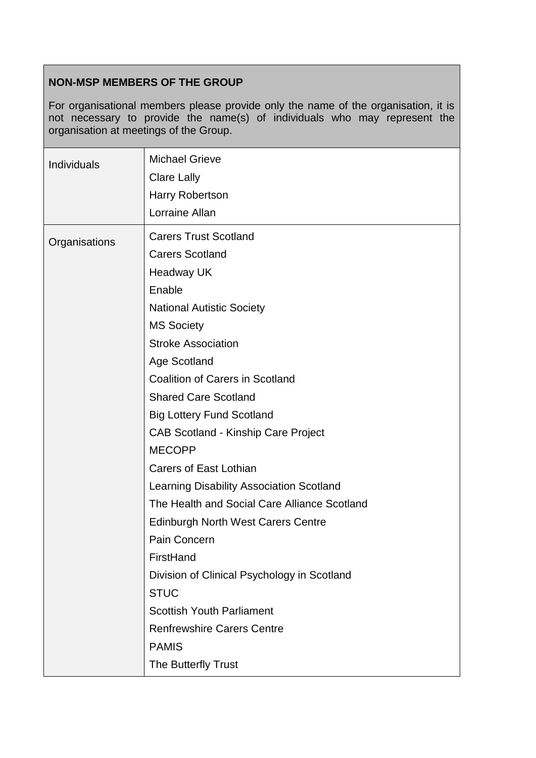# **NON-MSP MEMBERS OF THE GROUP**

For organisational members please provide only the name of the organisation, it is not necessary to provide the name(s) of individuals who may represent the organisation at meetings of the Group.

| Individuals   | <b>Michael Grieve</b><br><b>Clare Lally</b><br><b>Harry Robertson</b><br>Lorraine Allan                                                                                                                                                                                                                                                                                                                                                                                                                                                                                                                                                      |
|---------------|----------------------------------------------------------------------------------------------------------------------------------------------------------------------------------------------------------------------------------------------------------------------------------------------------------------------------------------------------------------------------------------------------------------------------------------------------------------------------------------------------------------------------------------------------------------------------------------------------------------------------------------------|
| Organisations | <b>Carers Trust Scotland</b><br><b>Carers Scotland</b><br><b>Headway UK</b><br>Enable<br><b>National Autistic Society</b><br><b>MS Society</b><br><b>Stroke Association</b><br>Age Scotland<br><b>Coalition of Carers in Scotland</b><br><b>Shared Care Scotland</b><br><b>Big Lottery Fund Scotland</b><br><b>CAB Scotland - Kinship Care Project</b><br><b>MECOPP</b><br><b>Carers of East Lothian</b><br>Learning Disability Association Scotland<br>The Health and Social Care Alliance Scotland<br><b>Edinburgh North West Carers Centre</b><br>Pain Concern<br>FirstHand<br>Division of Clinical Psychology in Scotland<br><b>STUC</b> |
|               | <b>Scottish Youth Parliament</b><br><b>Renfrewshire Carers Centre</b><br><b>PAMIS</b><br>The Butterfly Trust                                                                                                                                                                                                                                                                                                                                                                                                                                                                                                                                 |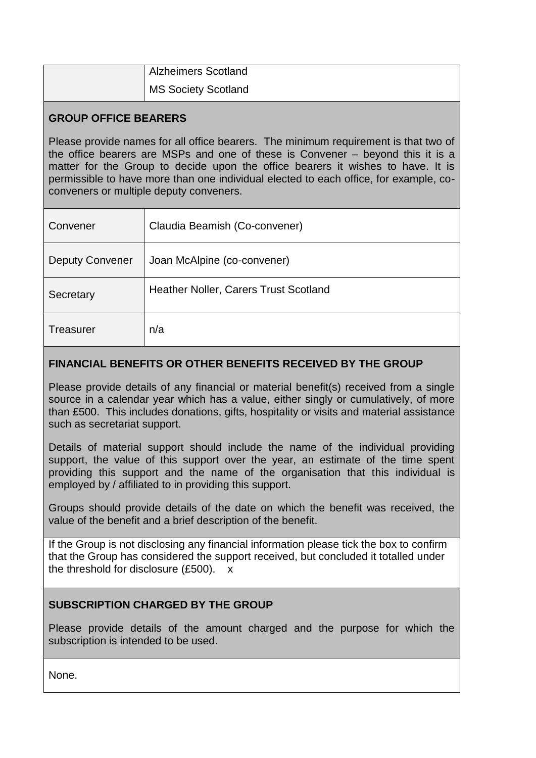| <b>Alzheimers Scotland</b> |
|----------------------------|
| <b>MS Society Scotland</b> |

# **GROUP OFFICE BEARERS**

Please provide names for all office bearers. The minimum requirement is that two of the office bearers are MSPs and one of these is Convener – beyond this it is a matter for the Group to decide upon the office bearers it wishes to have. It is permissible to have more than one individual elected to each office, for example, coconveners or multiple deputy conveners.

| Convener               | Claudia Beamish (Co-convener)         |
|------------------------|---------------------------------------|
| <b>Deputy Convener</b> | Joan McAlpine (co-convener)           |
| Secretary              | Heather Noller, Carers Trust Scotland |
| <b>Treasurer</b>       | n/a                                   |

# **FINANCIAL BENEFITS OR OTHER BENEFITS RECEIVED BY THE GROUP**

Please provide details of any financial or material benefit(s) received from a single source in a calendar year which has a value, either singly or cumulatively, of more than £500. This includes donations, gifts, hospitality or visits and material assistance such as secretariat support.

Details of material support should include the name of the individual providing support, the value of this support over the year, an estimate of the time spent providing this support and the name of the organisation that this individual is employed by / affiliated to in providing this support.

Groups should provide details of the date on which the benefit was received, the value of the benefit and a brief description of the benefit.

If the Group is not disclosing any financial information please tick the box to confirm that the Group has considered the support received, but concluded it totalled under the threshold for disclosure (£500). x

### **SUBSCRIPTION CHARGED BY THE GROUP**

Please provide details of the amount charged and the purpose for which the subscription is intended to be used.

None.